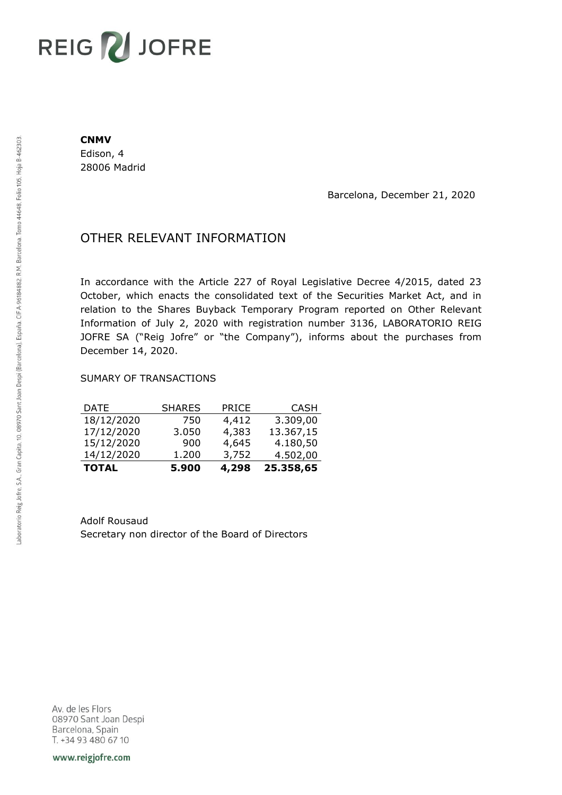## **REIG ZU JOFRE**

## **CNMV**

Edison, 4 28006 Madrid

Barcelona, December 21, 2020

## OTHER RELEVANT INFORMATION

In accordance with the Article 227 of Royal Legislative Decree 4/2015, dated 23 October, which enacts the consolidated text of the Securities Market Act, and in relation to the Shares Buyback Temporary Program reported on Other Relevant Information of July 2, 2020 with registration number 3136, LABORATORIO REIG JOFRE SA ("Reig Jofre" or "the Company"), informs about the purchases from December 14, 2020.

## SUMARY OF TRANSACTIONS

| <b>TOTAL</b> | 5.900         | 4,298        | 25.358,65   |
|--------------|---------------|--------------|-------------|
| 14/12/2020   | 1.200         | 3,752        | 4.502,00    |
| 15/12/2020   | 900           | 4,645        | 4.180,50    |
| 17/12/2020   | 3.050         | 4,383        | 13.367,15   |
| 18/12/2020   | 750           | 4,412        | 3.309,00    |
| <b>DATE</b>  | <b>SHARES</b> | <b>PRICE</b> | <b>CASH</b> |

Adolf Rousaud Secretary non director of the Board of Directors

Av. de les Flors 08970 Sant Joan Despi Barcelona, Spain T. +34 93 480 67 10

www.reigjofre.com